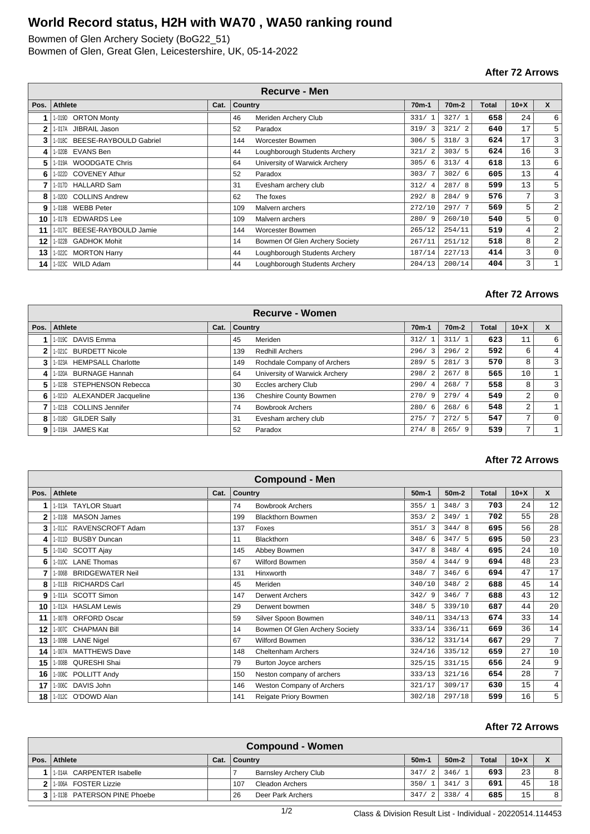## **World Record status, H2H with WA70 , WA50 ranking round**

Bowmen of Glen Archery Society (BoG22\_51) Bowmen of Glen, Great Glen, Leicestershire, UK, 05-14-2022

#### **After 72 Arrows**

| <b>Recurve - Men</b> |                                 |      |         |                                |         |                    |       |        |                  |  |  |
|----------------------|---------------------------------|------|---------|--------------------------------|---------|--------------------|-------|--------|------------------|--|--|
| Pos.                 | <b>Athlete</b>                  | Cat. | Country |                                | $70m-1$ | 70 <sub>m</sub> -2 | Total | $10+X$ | $\boldsymbol{x}$ |  |  |
|                      | 1-019D ORTON Monty              |      | 46      | Meriden Archery Club           | 331/1   | 327/1              | 658   | 24     | 6                |  |  |
|                      | 1-017A JIBRAIL Jason            |      | 52      | Paradox                        | 319/3   | 321/2              | 640   | 17     | 5                |  |  |
| 3                    | 1-018C BEESE-RAYBOULD Gabriel   |      | 144     | <b>Worcester Bowmen</b>        | 306/5   | 318/3              | 624   | 17     | 3                |  |  |
| 4                    | 1-020B EVANS Ben                |      | 44      | Loughborough Students Archery  | 321/    | 303/5              | 624   | 16     | 3                |  |  |
| 5                    | 1-019A WOODGATE Chris           |      | 64      | University of Warwick Archery  | 305/6   | 313/4              | 618   | 13     | 6                |  |  |
| 6                    | <b>COVENEY Athur</b><br>l- 022D |      | 52      | Paradox                        | 303/7   | 302/6              | 605   | 13     | $\overline{4}$   |  |  |
|                      | 1-017D HALLARD Sam              |      | 31      | Evesham archery club           | 312/4   | 287/8              | 599   | 13     | 5                |  |  |
| 8                    | 1-020D COLLINS Andrew           |      | 62      | The foxes                      | 292/8   | 284/9              | 576   | 7      | 3                |  |  |
| 9                    | 1-018B WEBB Peter               |      | 109     | Malvern archers                | 272/10  | 297/7              | 569   | 5      | 2                |  |  |
| 10                   | 1-017B EDWARDS Lee              |      | 109     | Malvern archers                | 280/9   | 260/10             | 540   | 5      | 0                |  |  |
| 11                   | 1-017C BEESE-RAYBOULD Jamie     |      | 144     | Worcester Bowmen               | 265/12  | 254/11             | 519   | 4      | 2                |  |  |
| 12                   | 1-022B GADHOK Mohit             |      | 14      | Bowmen Of Glen Archery Society | 267/11  | 251/12             | 518   | 8      | 2                |  |  |
| 13                   | <b>MORTON Harry</b><br>1- 022C  |      | 44      | Loughborough Students Archery  | 187/14  | 227/13             | 414   | 3      | $\mathbf{0}$     |  |  |
| 14                   | <b>WILD Adam</b><br>1-023C      |      | 44      | Loughborough Students Archery  | 204/13  | 200/14             | 404   | 3      |                  |  |  |

#### **After 72 Arrows**

| <b>Recurve - Women</b> |                             |      |                |                               |                        |                    |              |                |                |  |  |
|------------------------|-----------------------------|------|----------------|-------------------------------|------------------------|--------------------|--------------|----------------|----------------|--|--|
| Pos.                   | <b>Athlete</b>              | Cat. | <b>Country</b> |                               | 70 <sub>m</sub> -1     | 70 <sub>m</sub> -2 | <b>Total</b> | $10+X$         | X              |  |  |
|                        | 1-019C DAVIS Emma           |      | 45             | Meriden                       | $^{\prime}$ 1<br>312/  | 311/1              | 623          | 11             | 6              |  |  |
| 2                      | 1-021C BURDETT Nicole       |      | 139            | <b>Redhill Archers</b>        | 296/3                  | 296/2              | 592          | 6              | 4              |  |  |
| 3                      | 1-023A HEMPSALL Charlotte   |      | 149            | Rochdale Company of Archers   | 289/5                  | 281/3              | 570          | 8              | $\overline{3}$ |  |  |
| 4                      | 1-020A BURNAGE Hannah       |      | 64             | University of Warwick Archery | 2<br>298/              | 267/8              | 565          | 10             |                |  |  |
| 5.                     | 1-023B STEPHENSON Rebecca   |      | 30             | Eccles archery Club           | 290/<br>$\overline{4}$ | 268/7              | 558          | 8              | $\overline{3}$ |  |  |
| 6                      | 1-021D ALEXANDER Jacqueline |      | 136            | Cheshire County Bowmen        | 270/9                  | 279/4              | 549          | 2              | $\overline{0}$ |  |  |
|                        | 1-021B COLLINS Jennifer     |      | 74             | <b>Bowbrook Archers</b>       | 280/6                  | 268/6              | 548          | 2              |                |  |  |
| 8                      | 1-018D GILDER Sally         |      | 31             | Evesham archery club          | 275/<br>$\overline{7}$ | 272/5              | 547          | $\mathbf{r}$   | $\Omega$       |  |  |
| 9                      | 1-018A JAMES Kat            |      | 52             | Paradox                       | 274/8                  | 265/9              | 539          | $\overline{ }$ |                |  |  |

#### **After 72 Arrows**

|              | <b>Compound - Men</b> |                         |      |         |                                |         |         |              |        |                |  |
|--------------|-----------------------|-------------------------|------|---------|--------------------------------|---------|---------|--------------|--------|----------------|--|
| Pos.         | Athlete               |                         | Cat. | Country |                                | $50m-1$ | $50m-2$ | <b>Total</b> | $10+X$ | $\mathsf{x}$   |  |
|              |                       | 1-013A TAYLOR Stuart    |      | 74      | <b>Bowbrook Archers</b>        | 355/1   | 348/3   | 703          | 24     | 12             |  |
| $\mathbf{2}$ | 1-010B                | <b>MASON James</b>      |      | 199     | <b>Blackthorn Bowmen</b>       | 353/2   | 349/1   | 702          | 55     | 28             |  |
| 3            |                       | 1-011C RAVENSCROFT Adam |      | 137     | Foxes                          | 351/3   | 344/8   | 695          | 56     | 28             |  |
| 4            |                       | 1-011D BUSBY Duncan     |      | 11      | <b>Blackthorn</b>              | 348/6   | 347/5   | 695          | 50     | 23             |  |
| 5            |                       | 1-014D SCOTT Ajay       |      | 145     | Abbey Bowmen                   | 347/8   | 348/4   | 695          | 24     | 10             |  |
| 6            | 1-010C                | <b>LANE Thomas</b>      |      | 67      | Wilford Bowmen                 | 350/4   | 344/9   | 694          | 48     | 23             |  |
|              |                       | 1-006B BRIDGEWATER Neil |      | 131     | Hinxworth                      | 348/7   | 346/6   | 694          | 47     | 17             |  |
| 8            | 1-011B                | <b>RICHARDS Carl</b>    |      | 45      | Meriden                        | 340/10  | 348/2   | 688          | 45     | 14             |  |
| 9            |                       | 1-011A SCOTT Simon      |      | 147     | <b>Derwent Archers</b>         | 342/9   | 346/7   | 688          | 43     | 12             |  |
| 10           | 1-012A                | <b>HASLAM Lewis</b>     |      | 29      | Derwent bowmen                 | 348/5   | 339/10  | 687          | 44     | 20             |  |
| 11           |                       | 1-007B ORFORD Oscar     |      | 59      | Silver Spoon Bowmen            | 340/11  | 334/13  | 674          | 33     | 14             |  |
| 12           |                       | 1-007C CHAPMAN Bill     |      | 14      | Bowmen Of Glen Archery Society | 333/14  | 336/11  | 669          | 36     | 14             |  |
| 13           | 1-009B                | <b>LANE Nigel</b>       |      | 67      | Wilford Bowmen                 | 336/12  | 331/14  | 667          | 29     | $\overline{7}$ |  |
| 14           | 1-007A                | <b>MATTHEWS Dave</b>    |      | 148     | <b>Cheltenham Archers</b>      | 324/16  | 335/12  | 659          | 27     | 10             |  |
| 15           | 1-008B                | QURESHI Shai            |      | 79      | Burton Joyce archers           | 325/15  | 331/15  | 656          | 24     | 9              |  |
| 16           | 1-008C                | POLLITT Andy            |      | 150     | Neston company of archers      | 333/13  | 321/16  | 654          | 28     | $7^{\circ}$    |  |
| 17           |                       | 1-006C DAVIS John       |      | 146     | Weston Company of Archers      | 321/17  | 309/17  | 630          | 15     | 4              |  |
| 18           |                       | 1-012C O'DOWD Alan      |      | 141     | Reigate Priory Bowmen          | 302/18  | 297/18  | 599          | 16     | 5              |  |

#### **After 72 Arrows**

|              | <b>Compound - Women</b>        |      |     |                              |      |     |         |  |              |        |    |  |
|--------------|--------------------------------|------|-----|------------------------------|------|-----|---------|--|--------------|--------|----|--|
| Pos. $\vert$ | Athlete                        | Cat. |     | ∣ Countrv                    |      |     | $50m-2$ |  | <b>Total</b> | $10+X$ |    |  |
|              | 1-014A CARPENTER Isabelle      |      |     | <b>Barnsley Archery Club</b> | 347/ | 2.1 | 346/1   |  | 693          | 231    | 8  |  |
|              | <b>FOSTER Lizzie</b><br>1-006A |      | 107 | Cleadon Archers              | 350/ |     | 341/3   |  | 691          | 45     | 18 |  |
|              | 1-013B PATERSON PINE Phoebe    |      | 26  | Deer Park Archers            | 347/ | 2.1 | 338/4   |  | 685          | 15     | 8  |  |